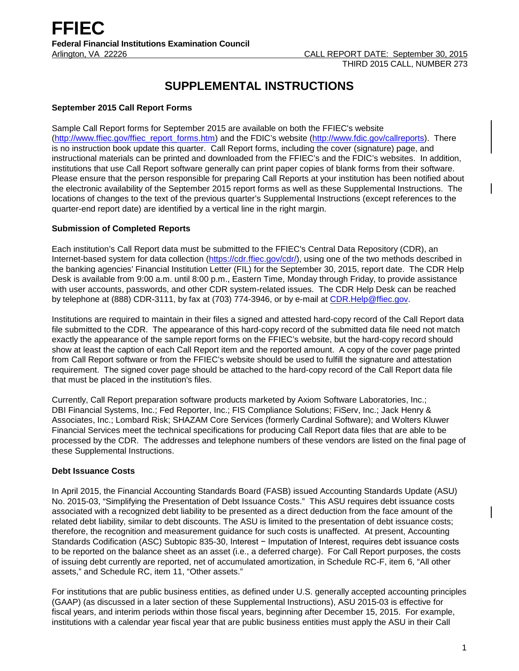# **SUPPLEMENTAL INSTRUCTIONS**

## **September 2015 Call Report Forms**

Sample Call Report forms for September 2015 are available on both the FFIEC's website [\(http://www.ffiec.gov/ffiec\\_report\\_forms.htm\)](http://www.ffiec.gov/ffiec_report_forms.htm) and the FDIC's website [\(http://www.fdic.gov/callreports\)](http://www.fdic.gov/callreports). There is no instruction book update this quarter. Call Report forms, including the cover (signature) page, and instructional materials can be printed and downloaded from the FFIEC's and the FDIC's websites. In addition, institutions that use Call Report software generally can print paper copies of blank forms from their software. Please ensure that the person responsible for preparing Call Reports at your institution has been notified about the electronic availability of the September 2015 report forms as well as these Supplemental Instructions. The locations of changes to the text of the previous quarter's Supplemental Instructions (except references to the quarter-end report date) are identified by a vertical line in the right margin.

## **Submission of Completed Reports**

Each institution's Call Report data must be submitted to the FFIEC's Central Data Repository (CDR), an Internet-based system for data collection [\(https://cdr.ffiec.gov/cdr/\)](https://cdr.ffiec.gov/cdr/), using one of the two methods described in the banking agencies' Financial Institution Letter (FIL) for the September 30, 2015, report date. The CDR Help Desk is available from 9:00 a.m. until 8:00 p.m., Eastern Time, Monday through Friday, to provide assistance with user accounts, passwords, and other CDR system-related issues. The CDR Help Desk can be reached by telephone at (888) CDR-3111, by fax at (703) 774-3946, or by e-mail at CDR.Help@ffiec.gov.

Institutions are required to maintain in their files a signed and attested hard-copy record of the Call Report data file submitted to the CDR. The appearance of this hard-copy record of the submitted data file need not match exactly the appearance of the sample report forms on the FFIEC's website, but the hard-copy record should show at least the caption of each Call Report item and the reported amount. A copy of the cover page printed from Call Report software or from the FFIEC's website should be used to fulfill the signature and attestation requirement. The signed cover page should be attached to the hard-copy record of the Call Report data file that must be placed in the institution's files.

Currently, Call Report preparation software products marketed by Axiom Software Laboratories, Inc.; DBI Financial Systems, Inc.; Fed Reporter, Inc.; FIS Compliance Solutions; FiServ, Inc.; Jack Henry & Associates, Inc.; Lombard Risk; SHAZAM Core Services (formerly Cardinal Software); and Wolters Kluwer Financial Services meet the technical specifications for producing Call Report data files that are able to be processed by the CDR. The addresses and telephone numbers of these vendors are listed on the final page of these Supplemental Instructions.

## **Debt Issuance Costs**

In April 2015, the Financial Accounting Standards Board (FASB) issued Accounting Standards Update (ASU) No. 2015-03, "Simplifying the Presentation of Debt Issuance Costs." This ASU requires debt issuance costs associated with a recognized debt liability to be presented as a direct deduction from the face amount of the related debt liability, similar to debt discounts. The ASU is limited to the presentation of debt issuance costs; therefore, the recognition and measurement guidance for such costs is unaffected. At present, Accounting Standards Codification (ASC) Subtopic 835-30, Interest − Imputation of Interest, requires debt issuance costs to be reported on the balance sheet as an asset (i.e., a deferred charge). For Call Report purposes, the costs of issuing debt currently are reported, net of accumulated amortization, in Schedule RC-F, item 6, "All other assets," and Schedule RC, item 11, "Other assets."

For institutions that are public business entities, as defined under U.S. generally accepted accounting principles (GAAP) (as discussed in a later section of these Supplemental Instructions), ASU 2015-03 is effective for fiscal years, and interim periods within those fiscal years, beginning after December 15, 2015. For example, institutions with a calendar year fiscal year that are public business entities must apply the ASU in their Call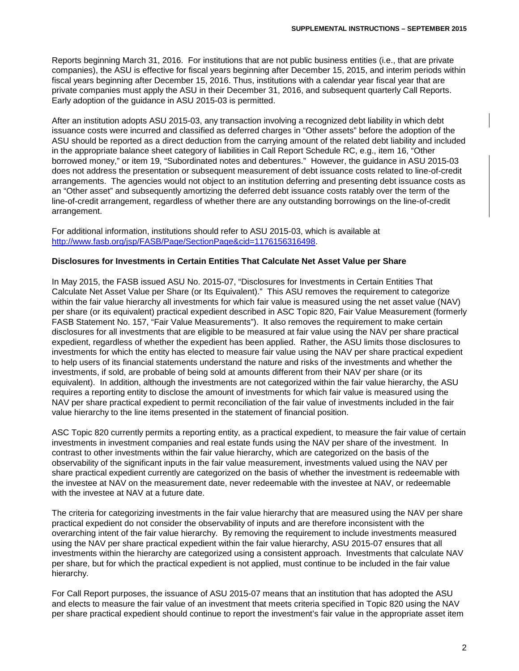Reports beginning March 31, 2016. For institutions that are not public business entities (i.e., that are private companies), the ASU is effective for fiscal years beginning after December 15, 2015, and interim periods within fiscal years beginning after December 15, 2016. Thus, institutions with a calendar year fiscal year that are private companies must apply the ASU in their December 31, 2016, and subsequent quarterly Call Reports. Early adoption of the guidance in ASU 2015-03 is permitted.

After an institution adopts ASU 2015-03, any transaction involving a recognized debt liability in which debt issuance costs were incurred and classified as deferred charges in "Other assets" before the adoption of the ASU should be reported as a direct deduction from the carrying amount of the related debt liability and included in the appropriate balance sheet category of liabilities in Call Report Schedule RC, e.g., item 16, "Other borrowed money," or item 19, "Subordinated notes and debentures." However, the guidance in ASU 2015-03 does not address the presentation or subsequent measurement of debt issuance costs related to line-of-credit arrangements. The agencies would not object to an institution deferring and presenting debt issuance costs as an "Other asset" and subsequently amortizing the deferred debt issuance costs ratably over the term of the line-of-credit arrangement, regardless of whether there are any outstanding borrowings on the line-of-credit arrangement.

For additional information, institutions should refer to ASU 2015-03, which is available at [http://www.fasb.org/jsp/FASB/Page/SectionPage&cid=1176156316498.](http://www.fasb.org/jsp/FASB/Page/SectionPage&cid=1176156316498)

## **Disclosures for Investments in Certain Entities That Calculate Net Asset Value per Share**

In May 2015, the FASB issued ASU No. 2015-07, "Disclosures for Investments in Certain Entities That Calculate Net Asset Value per Share (or Its Equivalent)." This ASU removes the requirement to categorize within the fair value hierarchy all investments for which fair value is measured using the net asset value (NAV) per share (or its equivalent) practical expedient described in ASC Topic 820, Fair Value Measurement (formerly FASB Statement No. 157, "Fair Value Measurements"). It also removes the requirement to make certain disclosures for all investments that are eligible to be measured at fair value using the NAV per share practical expedient, regardless of whether the expedient has been applied. Rather, the ASU limits those disclosures to investments for which the entity has elected to measure fair value using the NAV per share practical expedient to help users of its financial statements understand the nature and risks of the investments and whether the investments, if sold, are probable of being sold at amounts different from their NAV per share (or its equivalent). In addition, although the investments are not categorized within the fair value hierarchy, the ASU requires a reporting entity to disclose the amount of investments for which fair value is measured using the NAV per share practical expedient to permit reconciliation of the fair value of investments included in the fair value hierarchy to the line items presented in the statement of financial position.

ASC Topic 820 currently permits a reporting entity, as a practical expedient, to measure the fair value of certain investments in investment companies and real estate funds using the NAV per share of the investment. In contrast to other investments within the fair value hierarchy, which are categorized on the basis of the observability of the significant inputs in the fair value measurement, investments valued using the NAV per share practical expedient currently are categorized on the basis of whether the investment is redeemable with the investee at NAV on the measurement date, never redeemable with the investee at NAV, or redeemable with the investee at NAV at a future date.

The criteria for categorizing investments in the fair value hierarchy that are measured using the NAV per share practical expedient do not consider the observability of inputs and are therefore inconsistent with the overarching intent of the fair value hierarchy. By removing the requirement to include investments measured using the NAV per share practical expedient within the fair value hierarchy, ASU 2015-07 ensures that all investments within the hierarchy are categorized using a consistent approach. Investments that calculate NAV per share, but for which the practical expedient is not applied, must continue to be included in the fair value hierarchy.

For Call Report purposes, the issuance of ASU 2015-07 means that an institution that has adopted the ASU and elects to measure the fair value of an investment that meets criteria specified in Topic 820 using the NAV per share practical expedient should continue to report the investment's fair value in the appropriate asset item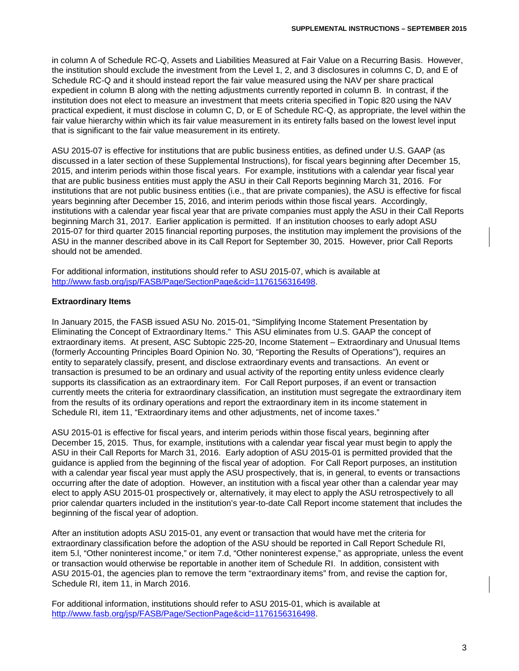in column A of Schedule RC-Q, Assets and Liabilities Measured at Fair Value on a Recurring Basis. However, the institution should exclude the investment from the Level 1, 2, and 3 disclosures in columns C, D, and E of Schedule RC-Q and it should instead report the fair value measured using the NAV per share practical expedient in column B along with the netting adjustments currently reported in column B. In contrast, if the institution does not elect to measure an investment that meets criteria specified in Topic 820 using the NAV practical expedient, it must disclose in column C, D, or E of Schedule RC-Q, as appropriate, the level within the fair value hierarchy within which its fair value measurement in its entirety falls based on the lowest level input that is significant to the fair value measurement in its entirety.

ASU 2015-07 is effective for institutions that are public business entities, as defined under U.S. GAAP (as discussed in a later section of these Supplemental Instructions), for fiscal years beginning after December 15, 2015, and interim periods within those fiscal years. For example, institutions with a calendar year fiscal year that are public business entities must apply the ASU in their Call Reports beginning March 31, 2016. For institutions that are not public business entities (i.e., that are private companies), the ASU is effective for fiscal years beginning after December 15, 2016, and interim periods within those fiscal years. Accordingly, institutions with a calendar year fiscal year that are private companies must apply the ASU in their Call Reports beginning March 31, 2017. Earlier application is permitted. If an institution chooses to early adopt ASU 2015-07 for third quarter 2015 financial reporting purposes, the institution may implement the provisions of the ASU in the manner described above in its Call Report for September 30, 2015. However, prior Call Reports should not be amended.

For additional information, institutions should refer to ASU 2015-07, which is available at http://www.fasb.org/isp/FASB/Page/SectionPage&cid=1176156316498.

## **Extraordinary Items**

In January 2015, the FASB issued ASU No. 2015-01, "Simplifying Income Statement Presentation by Eliminating the Concept of Extraordinary Items." This ASU eliminates from U.S. GAAP the concept of extraordinary items. At present, ASC Subtopic 225-20, Income Statement – Extraordinary and Unusual Items (formerly Accounting Principles Board Opinion No. 30, "Reporting the Results of Operations"), requires an entity to separately classify, present, and disclose extraordinary events and transactions. An event or transaction is presumed to be an ordinary and usual activity of the reporting entity unless evidence clearly supports its classification as an extraordinary item. For Call Report purposes, if an event or transaction currently meets the criteria for extraordinary classification, an institution must segregate the extraordinary item from the results of its ordinary operations and report the extraordinary item in its income statement in Schedule RI, item 11, "Extraordinary items and other adjustments, net of income taxes."

ASU 2015-01 is effective for fiscal years, and interim periods within those fiscal years, beginning after December 15, 2015. Thus, for example, institutions with a calendar year fiscal year must begin to apply the ASU in their Call Reports for March 31, 2016. Early adoption of ASU 2015-01 is permitted provided that the guidance is applied from the beginning of the fiscal year of adoption. For Call Report purposes, an institution with a calendar year fiscal year must apply the ASU prospectively, that is, in general, to events or transactions occurring after the date of adoption. However, an institution with a fiscal year other than a calendar year may elect to apply ASU 2015-01 prospectively or, alternatively, it may elect to apply the ASU retrospectively to all prior calendar quarters included in the institution's year-to-date Call Report income statement that includes the beginning of the fiscal year of adoption.

After an institution adopts ASU 2015-01, any event or transaction that would have met the criteria for extraordinary classification before the adoption of the ASU should be reported in Call Report Schedule RI, item 5.l, "Other noninterest income," or item 7.d, "Other noninterest expense," as appropriate, unless the event or transaction would otherwise be reportable in another item of Schedule RI. In addition, consistent with ASU 2015-01, the agencies plan to remove the term "extraordinary items" from, and revise the caption for, Schedule RI, item 11, in March 2016.

For additional information, institutions should refer to ASU 2015-01, which is available at [http://www.fasb.org/jsp/FASB/Page/SectionPage&cid=1176156316498.](http://www.fasb.org/jsp/FASB/Page/SectionPage&cid=1176156316498)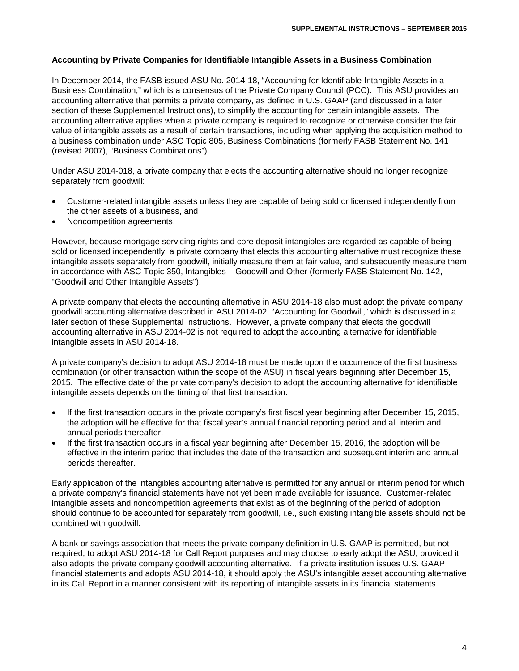#### **Accounting by Private Companies for Identifiable Intangible Assets in a Business Combination**

In December 2014, the FASB issued ASU No. 2014-18, "Accounting for Identifiable Intangible Assets in a Business Combination," which is a consensus of the Private Company Council (PCC). This ASU provides an accounting alternative that permits a private company, as defined in U.S. GAAP (and discussed in a later section of these Supplemental Instructions), to simplify the accounting for certain intangible assets. The accounting alternative applies when a private company is required to recognize or otherwise consider the fair value of intangible assets as a result of certain transactions, including when applying the acquisition method to a business combination under ASC Topic 805, Business Combinations (formerly FASB Statement No. 141 (revised 2007), "Business Combinations").

Under ASU 2014-018, a private company that elects the accounting alternative should no longer recognize separately from goodwill:

- Customer-related intangible assets unless they are capable of being sold or licensed independently from the other assets of a business, and
- Noncompetition agreements.

However, because mortgage servicing rights and core deposit intangibles are regarded as capable of being sold or licensed independently, a private company that elects this accounting alternative must recognize these intangible assets separately from goodwill, initially measure them at fair value, and subsequently measure them in accordance with ASC Topic 350, Intangibles – Goodwill and Other (formerly FASB Statement No. 142, "Goodwill and Other Intangible Assets").

A private company that elects the accounting alternative in ASU 2014-18 also must adopt the private company goodwill accounting alternative described in ASU 2014-02, "Accounting for Goodwill," which is discussed in a later section of these Supplemental Instructions. However, a private company that elects the goodwill accounting alternative in ASU 2014-02 is not required to adopt the accounting alternative for identifiable intangible assets in ASU 2014-18.

A private company's decision to adopt ASU 2014-18 must be made upon the occurrence of the first business combination (or other transaction within the scope of the ASU) in fiscal years beginning after December 15, 2015. The effective date of the private company's decision to adopt the accounting alternative for identifiable intangible assets depends on the timing of that first transaction.

- If the first transaction occurs in the private company's first fiscal year beginning after December 15, 2015, the adoption will be effective for that fiscal year's annual financial reporting period and all interim and annual periods thereafter.
- If the first transaction occurs in a fiscal year beginning after December 15, 2016, the adoption will be effective in the interim period that includes the date of the transaction and subsequent interim and annual periods thereafter.

Early application of the intangibles accounting alternative is permitted for any annual or interim period for which a private company's financial statements have not yet been made available for issuance. Customer-related intangible assets and noncompetition agreements that exist as of the beginning of the period of adoption should continue to be accounted for separately from goodwill, i.e., such existing intangible assets should not be combined with goodwill.

A bank or savings association that meets the private company definition in U.S. GAAP is permitted, but not required, to adopt ASU 2014-18 for Call Report purposes and may choose to early adopt the ASU, provided it also adopts the private company goodwill accounting alternative. If a private institution issues U.S. GAAP financial statements and adopts ASU 2014-18, it should apply the ASU's intangible asset accounting alternative in its Call Report in a manner consistent with its reporting of intangible assets in its financial statements.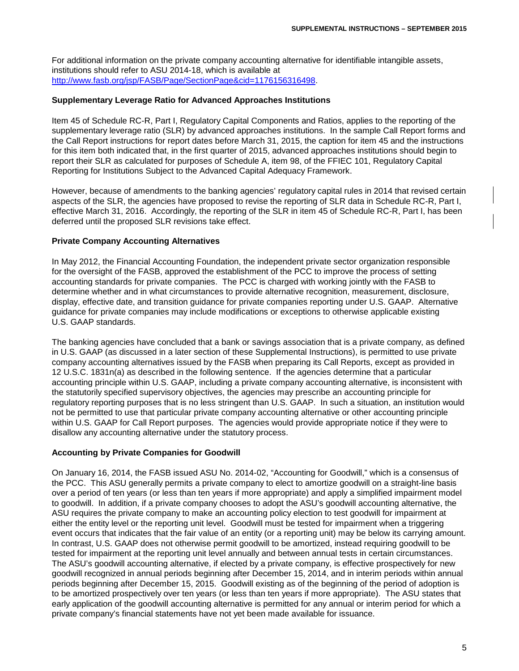For additional information on the private company accounting alternative for identifiable intangible assets, institutions should refer to ASU 2014-18, which is available at [http://www.fasb.org/jsp/FASB/Page/SectionPage&cid=1176156316498.](http://www.fasb.org/jsp/FASB/Page/SectionPage&cid=1176156316498)

#### **Supplementary Leverage Ratio for Advanced Approaches Institutions**

Item 45 of Schedule RC-R, Part I, Regulatory Capital Components and Ratios, applies to the reporting of the supplementary leverage ratio (SLR) by advanced approaches institutions. In the sample Call Report forms and the Call Report instructions for report dates before March 31, 2015, the caption for item 45 and the instructions for this item both indicated that, in the first quarter of 2015, advanced approaches institutions should begin to report their SLR as calculated for purposes of Schedule A, item 98, of the FFIEC 101, Regulatory Capital Reporting for Institutions Subject to the Advanced Capital Adequacy Framework.

However, because of amendments to the banking agencies' regulatory capital rules in 2014 that revised certain aspects of the SLR, the agencies have proposed to revise the reporting of SLR data in Schedule RC-R, Part I, effective March 31, 2016. Accordingly, the reporting of the SLR in item 45 of Schedule RC-R, Part I, has been deferred until the proposed SLR revisions take effect.

#### **Private Company Accounting Alternatives**

In May 2012, the Financial Accounting Foundation, the independent private sector organization responsible for the oversight of the FASB, approved the establishment of the PCC to improve the process of setting accounting standards for private companies. The PCC is charged with working jointly with the FASB to determine whether and in what circumstances to provide alternative recognition, measurement, disclosure, display, effective date, and transition guidance for private companies reporting under U.S. GAAP. Alternative guidance for private companies may include modifications or exceptions to otherwise applicable existing U.S. GAAP standards.

The banking agencies have concluded that a bank or savings association that is a private company, as defined in U.S. GAAP (as discussed in a later section of these Supplemental Instructions), is permitted to use private company accounting alternatives issued by the FASB when preparing its Call Reports, except as provided in 12 U.S.C. 1831n(a) as described in the following sentence. If the agencies determine that a particular accounting principle within U.S. GAAP, including a private company accounting alternative, is inconsistent with the statutorily specified supervisory objectives, the agencies may prescribe an accounting principle for regulatory reporting purposes that is no less stringent than U.S. GAAP. In such a situation, an institution would not be permitted to use that particular private company accounting alternative or other accounting principle within U.S. GAAP for Call Report purposes. The agencies would provide appropriate notice if they were to disallow any accounting alternative under the statutory process.

## **Accounting by Private Companies for Goodwill**

On January 16, 2014, the FASB issued ASU No. 2014-02, "Accounting for Goodwill," which is a consensus of the PCC. This ASU generally permits a private company to elect to amortize goodwill on a straight-line basis over a period of ten years (or less than ten years if more appropriate) and apply a simplified impairment model to goodwill. In addition, if a private company chooses to adopt the ASU's goodwill accounting alternative, the ASU requires the private company to make an accounting policy election to test goodwill for impairment at either the entity level or the reporting unit level. Goodwill must be tested for impairment when a triggering event occurs that indicates that the fair value of an entity (or a reporting unit) may be below its carrying amount. In contrast, U.S. GAAP does not otherwise permit goodwill to be amortized, instead requiring goodwill to be tested for impairment at the reporting unit level annually and between annual tests in certain circumstances. The ASU's goodwill accounting alternative, if elected by a private company, is effective prospectively for new goodwill recognized in annual periods beginning after December 15, 2014, and in interim periods within annual periods beginning after December 15, 2015. Goodwill existing as of the beginning of the period of adoption is to be amortized prospectively over ten years (or less than ten years if more appropriate). The ASU states that early application of the goodwill accounting alternative is permitted for any annual or interim period for which a private company's financial statements have not yet been made available for issuance.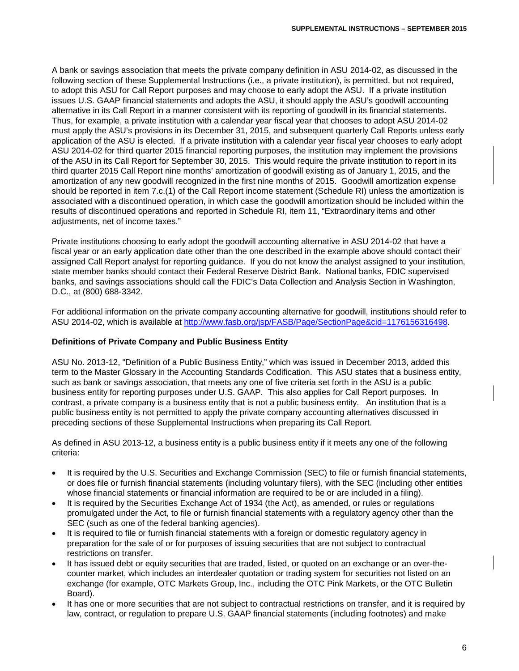A bank or savings association that meets the private company definition in ASU 2014-02, as discussed in the following section of these Supplemental Instructions (i.e., a private institution), is permitted, but not required, to adopt this ASU for Call Report purposes and may choose to early adopt the ASU. If a private institution issues U.S. GAAP financial statements and adopts the ASU, it should apply the ASU's goodwill accounting alternative in its Call Report in a manner consistent with its reporting of goodwill in its financial statements. Thus, for example, a private institution with a calendar year fiscal year that chooses to adopt ASU 2014-02 must apply the ASU's provisions in its December 31, 2015, and subsequent quarterly Call Reports unless early application of the ASU is elected. If a private institution with a calendar year fiscal year chooses to early adopt ASU 2014-02 for third quarter 2015 financial reporting purposes, the institution may implement the provisions of the ASU in its Call Report for September 30, 2015. This would require the private institution to report in its third quarter 2015 Call Report nine months' amortization of goodwill existing as of January 1, 2015, and the amortization of any new goodwill recognized in the first nine months of 2015. Goodwill amortization expense should be reported in item 7.c.(1) of the Call Report income statement (Schedule RI) unless the amortization is associated with a discontinued operation, in which case the goodwill amortization should be included within the results of discontinued operations and reported in Schedule RI, item 11, "Extraordinary items and other adiustments, net of income taxes."

Private institutions choosing to early adopt the goodwill accounting alternative in ASU 2014-02 that have a fiscal year or an early application date other than the one described in the example above should contact their assigned Call Report analyst for reporting guidance. If you do not know the analyst assigned to your institution, state member banks should contact their Federal Reserve District Bank. National banks, FDIC supervised banks, and savings associations should call the FDIC's Data Collection and Analysis Section in Washington, D.C., at (800) 688-3342.

For additional information on the private company accounting alternative for goodwill, institutions should refer to ASU 2014-02, which is available at [http://www.fasb.org/jsp/FASB/Page/SectionPage&cid=1176156316498.](http://www.fasb.org/jsp/FASB/Page/SectionPage&cid=1176156316498)

## **Definitions of Private Company and Public Business Entity**

ASU No. 2013-12, "Definition of a Public Business Entity," which was issued in December 2013, added this term to the Master Glossary in the Accounting Standards Codification. This ASU states that a business entity, such as bank or savings association, that meets any one of five criteria set forth in the ASU is a public business entity for reporting purposes under U.S. GAAP. This also applies for Call Report purposes. In contrast, a private company is a business entity that is not a public business entity. An institution that is a public business entity is not permitted to apply the private company accounting alternatives discussed in preceding sections of these Supplemental Instructions when preparing its Call Report.

As defined in ASU 2013-12, a business entity is a public business entity if it meets any one of the following criteria:

- It is required by the U.S. Securities and Exchange Commission (SEC) to file or furnish financial statements, or does file or furnish financial statements (including voluntary filers), with the SEC (including other entities whose financial statements or financial information are required to be or are included in a filing).
- It is required by the Securities Exchange Act of 1934 (the Act), as amended, or rules or regulations promulgated under the Act, to file or furnish financial statements with a regulatory agency other than the SEC (such as one of the federal banking agencies).
- It is required to file or furnish financial statements with a foreign or domestic regulatory agency in preparation for the sale of or for purposes of issuing securities that are not subject to contractual restrictions on transfer.
- It has issued debt or equity securities that are traded, listed, or quoted on an exchange or an over-thecounter market, which includes an interdealer quotation or trading system for securities not listed on an exchange (for example, OTC Markets Group, Inc., including the OTC Pink Markets, or the OTC Bulletin Board).
- It has one or more securities that are not subject to contractual restrictions on transfer, and it is required by law, contract, or regulation to prepare U.S. GAAP financial statements (including footnotes) and make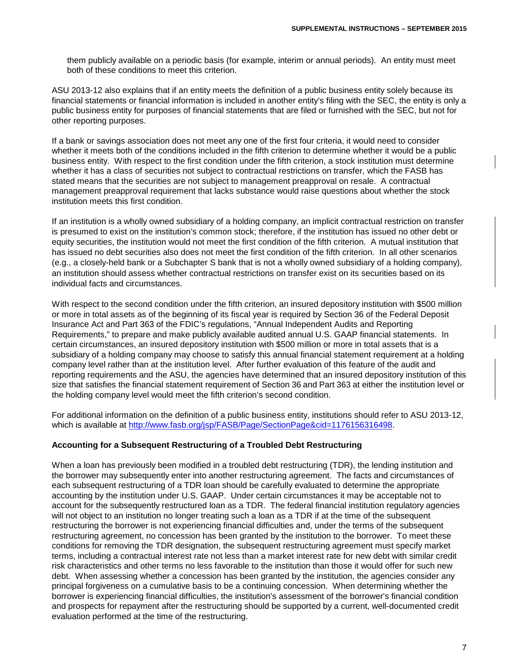them publicly available on a periodic basis (for example, interim or annual periods). An entity must meet both of these conditions to meet this criterion.

ASU 2013-12 also explains that if an entity meets the definition of a public business entity solely because its financial statements or financial information is included in another entity's filing with the SEC, the entity is only a public business entity for purposes of financial statements that are filed or furnished with the SEC, but not for other reporting purposes.

If a bank or savings association does not meet any one of the first four criteria, it would need to consider whether it meets both of the conditions included in the fifth criterion to determine whether it would be a public business entity. With respect to the first condition under the fifth criterion, a stock institution must determine whether it has a class of securities not subject to contractual restrictions on transfer, which the FASB has stated means that the securities are not subject to management preapproval on resale. A contractual management preapproval requirement that lacks substance would raise questions about whether the stock institution meets this first condition.

If an institution is a wholly owned subsidiary of a holding company, an implicit contractual restriction on transfer is presumed to exist on the institution's common stock; therefore, if the institution has issued no other debt or equity securities, the institution would not meet the first condition of the fifth criterion. A mutual institution that has issued no debt securities also does not meet the first condition of the fifth criterion. In all other scenarios (e.g., a closely-held bank or a Subchapter S bank that is not a wholly owned subsidiary of a holding company), an institution should assess whether contractual restrictions on transfer exist on its securities based on its individual facts and circumstances.

With respect to the second condition under the fifth criterion, an insured depository institution with \$500 million or more in total assets as of the beginning of its fiscal year is required by Section 36 of the Federal Deposit Insurance Act and Part 363 of the FDIC's regulations, "Annual Independent Audits and Reporting Requirements," to prepare and make publicly available audited annual U.S. GAAP financial statements. In certain circumstances, an insured depository institution with \$500 million or more in total assets that is a subsidiary of a holding company may choose to satisfy this annual financial statement requirement at a holding company level rather than at the institution level. After further evaluation of this feature of the audit and reporting requirements and the ASU, the agencies have determined that an insured depository institution of this size that satisfies the financial statement requirement of Section 36 and Part 363 at either the institution level or the holding company level would meet the fifth criterion's second condition.

For additional information on the definition of a public business entity, institutions should refer to ASU 2013-12, which is available at [http://www.fasb.org/jsp/FASB/Page/SectionPage&cid=1176156316498.](http://www.fasb.org/jsp/FASB/Page/SectionPage&cid=1176156316498)

## **Accounting for a Subsequent Restructuring of a Troubled Debt Restructuring**

When a loan has previously been modified in a troubled debt restructuring (TDR), the lending institution and the borrower may subsequently enter into another restructuring agreement. The facts and circumstances of each subsequent restructuring of a TDR loan should be carefully evaluated to determine the appropriate accounting by the institution under U.S. GAAP. Under certain circumstances it may be acceptable not to account for the subsequently restructured loan as a TDR. The federal financial institution regulatory agencies will not object to an institution no longer treating such a loan as a TDR if at the time of the subsequent restructuring the borrower is not experiencing financial difficulties and, under the terms of the subsequent restructuring agreement, no concession has been granted by the institution to the borrower. To meet these conditions for removing the TDR designation, the subsequent restructuring agreement must specify market terms, including a contractual interest rate not less than a market interest rate for new debt with similar credit risk characteristics and other terms no less favorable to the institution than those it would offer for such new debt. When assessing whether a concession has been granted by the institution, the agencies consider any principal forgiveness on a cumulative basis to be a continuing concession. When determining whether the borrower is experiencing financial difficulties, the institution's assessment of the borrower's financial condition and prospects for repayment after the restructuring should be supported by a current, well-documented credit evaluation performed at the time of the restructuring.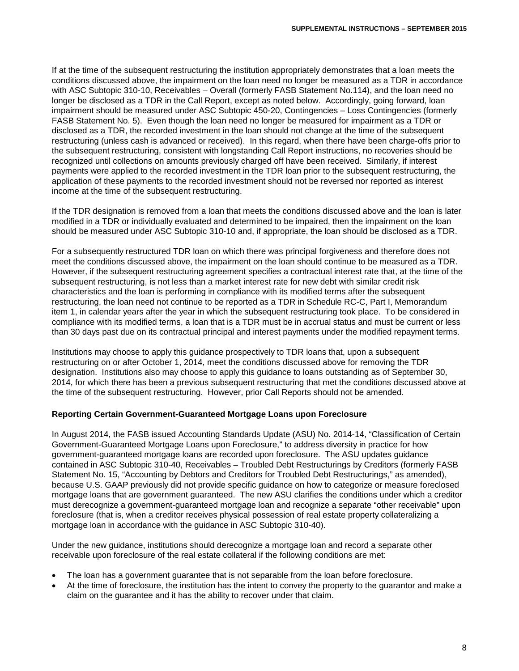If at the time of the subsequent restructuring the institution appropriately demonstrates that a loan meets the conditions discussed above, the impairment on the loan need no longer be measured as a TDR in accordance with ASC Subtopic 310-10, Receivables – Overall (formerly FASB Statement No.114), and the loan need no longer be disclosed as a TDR in the Call Report, except as noted below. Accordingly, going forward, loan impairment should be measured under ASC Subtopic 450-20, Contingencies – Loss Contingencies (formerly FASB Statement No. 5). Even though the loan need no longer be measured for impairment as a TDR or disclosed as a TDR, the recorded investment in the loan should not change at the time of the subsequent restructuring (unless cash is advanced or received). In this regard, when there have been charge-offs prior to the subsequent restructuring, consistent with longstanding Call Report instructions, no recoveries should be recognized until collections on amounts previously charged off have been received. Similarly, if interest payments were applied to the recorded investment in the TDR loan prior to the subsequent restructuring, the application of these payments to the recorded investment should not be reversed nor reported as interest income at the time of the subsequent restructuring.

If the TDR designation is removed from a loan that meets the conditions discussed above and the loan is later modified in a TDR or individually evaluated and determined to be impaired, then the impairment on the loan should be measured under ASC Subtopic 310-10 and, if appropriate, the loan should be disclosed as a TDR.

For a subsequently restructured TDR loan on which there was principal forgiveness and therefore does not meet the conditions discussed above, the impairment on the loan should continue to be measured as a TDR. However, if the subsequent restructuring agreement specifies a contractual interest rate that, at the time of the subsequent restructuring, is not less than a market interest rate for new debt with similar credit risk characteristics and the loan is performing in compliance with its modified terms after the subsequent restructuring, the loan need not continue to be reported as a TDR in Schedule RC-C, Part I, Memorandum item 1, in calendar years after the year in which the subsequent restructuring took place. To be considered in compliance with its modified terms, a loan that is a TDR must be in accrual status and must be current or less than 30 days past due on its contractual principal and interest payments under the modified repayment terms.

Institutions may choose to apply this guidance prospectively to TDR loans that, upon a subsequent restructuring on or after October 1, 2014, meet the conditions discussed above for removing the TDR designation. Institutions also may choose to apply this guidance to loans outstanding as of September 30, 2014, for which there has been a previous subsequent restructuring that met the conditions discussed above at the time of the subsequent restructuring. However, prior Call Reports should not be amended.

## **Reporting Certain Government-Guaranteed Mortgage Loans upon Foreclosure**

In August 2014, the FASB issued Accounting Standards Update (ASU) No. 2014-14, "Classification of Certain Government-Guaranteed Mortgage Loans upon Foreclosure," to address diversity in practice for how government-guaranteed mortgage loans are recorded upon foreclosure. The ASU updates guidance contained in ASC Subtopic 310-40, Receivables – Troubled Debt Restructurings by Creditors (formerly FASB Statement No. 15, "Accounting by Debtors and Creditors for Troubled Debt Restructurings," as amended), because U.S. GAAP previously did not provide specific guidance on how to categorize or measure foreclosed mortgage loans that are government guaranteed. The new ASU clarifies the conditions under which a creditor must derecognize a government-guaranteed mortgage loan and recognize a separate "other receivable" upon foreclosure (that is, when a creditor receives physical possession of real estate property collateralizing a mortgage loan in accordance with the guidance in ASC Subtopic 310-40).

Under the new guidance, institutions should derecognize a mortgage loan and record a separate other receivable upon foreclosure of the real estate collateral if the following conditions are met:

- The loan has a government guarantee that is not separable from the loan before foreclosure.
- At the time of foreclosure, the institution has the intent to convey the property to the guarantor and make a claim on the guarantee and it has the ability to recover under that claim.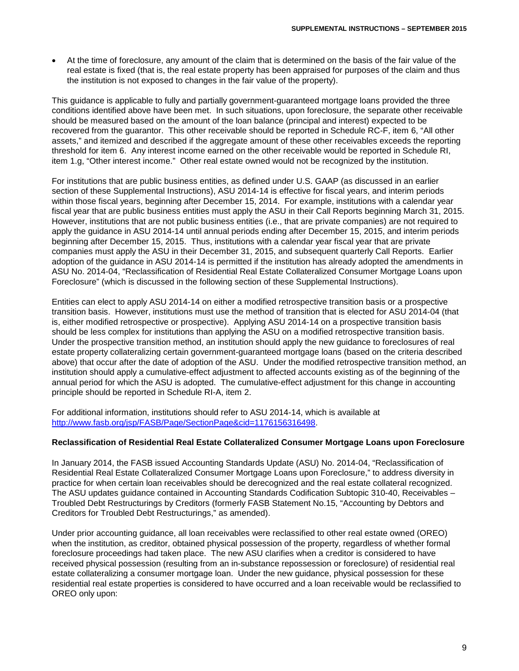• At the time of foreclosure, any amount of the claim that is determined on the basis of the fair value of the real estate is fixed (that is, the real estate property has been appraised for purposes of the claim and thus the institution is not exposed to changes in the fair value of the property).

This guidance is applicable to fully and partially government-guaranteed mortgage loans provided the three conditions identified above have been met. In such situations, upon foreclosure, the separate other receivable should be measured based on the amount of the loan balance (principal and interest) expected to be recovered from the guarantor. This other receivable should be reported in Schedule RC-F, item 6, "All other assets," and itemized and described if the aggregate amount of these other receivables exceeds the reporting threshold for item 6. Any interest income earned on the other receivable would be reported in Schedule RI, item 1.g, "Other interest income." Other real estate owned would not be recognized by the institution.

For institutions that are public business entities, as defined under U.S. GAAP (as discussed in an earlier section of these Supplemental Instructions), ASU 2014-14 is effective for fiscal years, and interim periods within those fiscal years, beginning after December 15, 2014. For example, institutions with a calendar year fiscal year that are public business entities must apply the ASU in their Call Reports beginning March 31, 2015. However, institutions that are not public business entities (i.e., that are private companies) are not required to apply the guidance in ASU 2014-14 until annual periods ending after December 15, 2015, and interim periods beginning after December 15, 2015. Thus, institutions with a calendar year fiscal year that are private companies must apply the ASU in their December 31, 2015, and subsequent quarterly Call Reports. Earlier adoption of the guidance in ASU 2014-14 is permitted if the institution has already adopted the amendments in ASU No. 2014-04, "Reclassification of Residential Real Estate Collateralized Consumer Mortgage Loans upon Foreclosure" (which is discussed in the following section of these Supplemental Instructions).

Entities can elect to apply ASU 2014-14 on either a modified retrospective transition basis or a prospective transition basis. However, institutions must use the method of transition that is elected for ASU 2014-04 (that is, either modified retrospective or prospective). Applying ASU 2014-14 on a prospective transition basis should be less complex for institutions than applying the ASU on a modified retrospective transition basis. Under the prospective transition method, an institution should apply the new guidance to foreclosures of real estate property collateralizing certain government-guaranteed mortgage loans (based on the criteria described above) that occur after the date of adoption of the ASU. Under the modified retrospective transition method, an institution should apply a cumulative-effect adjustment to affected accounts existing as of the beginning of the annual period for which the ASU is adopted. The cumulative-effect adjustment for this change in accounting principle should be reported in Schedule RI-A, item 2.

For additional information, institutions should refer to ASU 2014-14, which is available at [http://www.fasb.org/jsp/FASB/Page/SectionPage&cid=1176156316498.](http://www.fasb.org/jsp/FASB/Page/SectionPage&cid=1176156316498)

## **Reclassification of Residential Real Estate Collateralized Consumer Mortgage Loans upon Foreclosure**

In January 2014, the FASB issued Accounting Standards Update (ASU) No. 2014-04, "Reclassification of Residential Real Estate Collateralized Consumer Mortgage Loans upon Foreclosure," to address diversity in practice for when certain loan receivables should be derecognized and the real estate collateral recognized. The ASU updates guidance contained in Accounting Standards Codification Subtopic 310-40, Receivables – Troubled Debt Restructurings by Creditors (formerly FASB Statement No.15, "Accounting by Debtors and Creditors for Troubled Debt Restructurings," as amended).

Under prior accounting guidance, all loan receivables were reclassified to other real estate owned (OREO) when the institution, as creditor, obtained physical possession of the property, regardless of whether formal foreclosure proceedings had taken place. The new ASU clarifies when a creditor is considered to have received physical possession (resulting from an in-substance repossession or foreclosure) of residential real estate collateralizing a consumer mortgage loan. Under the new guidance, physical possession for these residential real estate properties is considered to have occurred and a loan receivable would be reclassified to OREO only upon: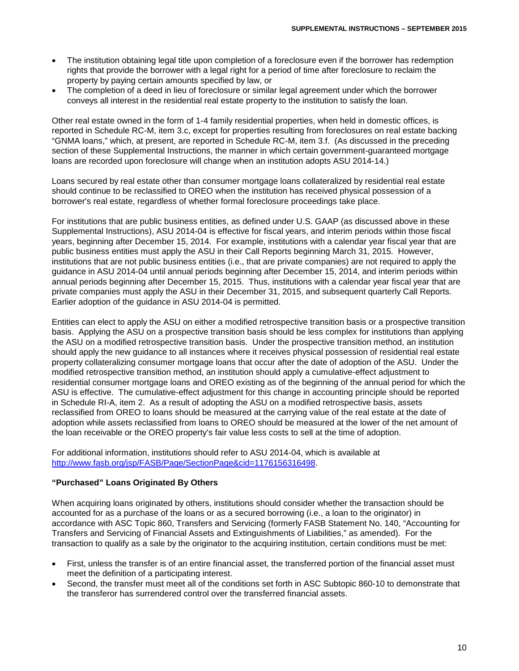- The institution obtaining legal title upon completion of a foreclosure even if the borrower has redemption rights that provide the borrower with a legal right for a period of time after foreclosure to reclaim the property by paying certain amounts specified by law, or
- The completion of a deed in lieu of foreclosure or similar legal agreement under which the borrower conveys all interest in the residential real estate property to the institution to satisfy the loan.

Other real estate owned in the form of 1-4 family residential properties, when held in domestic offices, is reported in Schedule RC-M, item 3.c, except for properties resulting from foreclosures on real estate backing "GNMA loans," which, at present, are reported in Schedule RC-M, item 3.f. (As discussed in the preceding section of these Supplemental Instructions, the manner in which certain government-guaranteed mortgage loans are recorded upon foreclosure will change when an institution adopts ASU 2014-14.)

Loans secured by real estate other than consumer mortgage loans collateralized by residential real estate should continue to be reclassified to OREO when the institution has received physical possession of a borrower's real estate, regardless of whether formal foreclosure proceedings take place.

For institutions that are public business entities, as defined under U.S. GAAP (as discussed above in these Supplemental Instructions), ASU 2014-04 is effective for fiscal years, and interim periods within those fiscal years, beginning after December 15, 2014. For example, institutions with a calendar year fiscal year that are public business entities must apply the ASU in their Call Reports beginning March 31, 2015. However, institutions that are not public business entities (i.e., that are private companies) are not required to apply the guidance in ASU 2014-04 until annual periods beginning after December 15, 2014, and interim periods within annual periods beginning after December 15, 2015. Thus, institutions with a calendar year fiscal year that are private companies must apply the ASU in their December 31, 2015, and subsequent quarterly Call Reports. Earlier adoption of the guidance in ASU 2014-04 is permitted.

Entities can elect to apply the ASU on either a modified retrospective transition basis or a prospective transition basis. Applying the ASU on a prospective transition basis should be less complex for institutions than applying the ASU on a modified retrospective transition basis. Under the prospective transition method, an institution should apply the new guidance to all instances where it receives physical possession of residential real estate property collateralizing consumer mortgage loans that occur after the date of adoption of the ASU. Under the modified retrospective transition method, an institution should apply a cumulative-effect adjustment to residential consumer mortgage loans and OREO existing as of the beginning of the annual period for which the ASU is effective. The cumulative-effect adjustment for this change in accounting principle should be reported in Schedule RI-A, item 2. As a result of adopting the ASU on a modified retrospective basis, assets reclassified from OREO to loans should be measured at the carrying value of the real estate at the date of adoption while assets reclassified from loans to OREO should be measured at the lower of the net amount of the loan receivable or the OREO property's fair value less costs to sell at the time of adoption.

For additional information, institutions should refer to ASU 2014-04, which is available at http://www.fasb.org/isp/FASB/Page/SectionPage&cid=1176156316498.

## **"Purchased" Loans Originated By Others**

When acquiring loans originated by others, institutions should consider whether the transaction should be accounted for as a purchase of the loans or as a secured borrowing (i.e., a loan to the originator) in accordance with ASC Topic 860, Transfers and Servicing (formerly FASB Statement No. 140, "Accounting for Transfers and Servicing of Financial Assets and Extinguishments of Liabilities," as amended). For the transaction to qualify as a sale by the originator to the acquiring institution, certain conditions must be met:

- First, unless the transfer is of an entire financial asset, the transferred portion of the financial asset must meet the definition of a participating interest.
- Second, the transfer must meet all of the conditions set forth in ASC Subtopic 860-10 to demonstrate that the transferor has surrendered control over the transferred financial assets.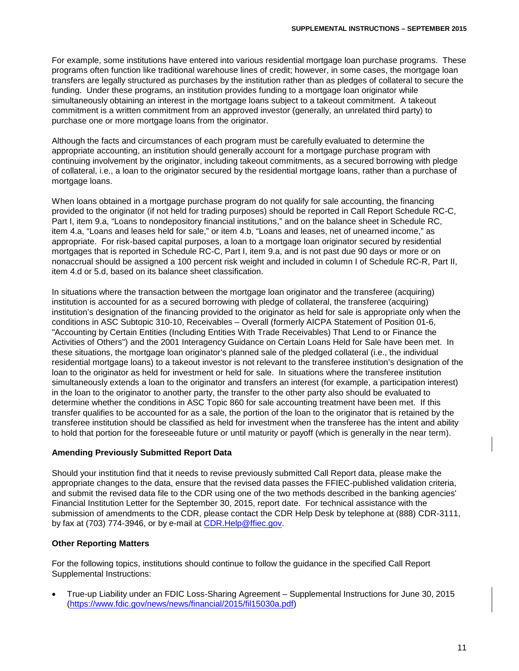For example, some institutions have entered into various residential mortgage loan purchase programs. These programs often function like traditional warehouse lines of credit; however, in some cases, the mortgage loan transfers are legally structured as purchases by the institution rather than as pledges of collateral to secure the funding. Under these programs, an institution provides funding to a mortgage loan originator while simultaneously obtaining an interest in the mortgage loans subject to a takeout commitment. A takeout commitment is a written commitment from an approved investor (generally, an unrelated third party) to purchase one or more mortgage loans from the originator.

Although the facts and circumstances of each program must be carefully evaluated to determine the appropriate accounting, an institution should generally account for a mortgage purchase program with continuing involvement by the originator, including takeout commitments, as a secured borrowing with pledge of collateral, i.e., a loan to the originator secured by the residential mortgage loans, rather than a purchase of mortgage loans.

When loans obtained in a mortgage purchase program do not qualify for sale accounting, the financing provided to the originator (if not held for trading purposes) should be reported in Call Report Schedule RC-C, Part I, item 9.a, "Loans to nondepository financial institutions," and on the balance sheet in Schedule RC, item 4.a, "Loans and leases held for sale," or item 4.b, "Loans and leases, net of unearned income," as appropriate. For risk-based capital purposes, a loan to a mortgage loan originator secured by residential mortgages that is reported in Schedule RC-C, Part I, item 9.a, and is not past due 90 days or more or on nonaccrual should be assigned a 100 percent risk weight and included in column I of Schedule RC-R, Part II, item 4.d or 5.d, based on its balance sheet classification.

In situations where the transaction between the mortgage loan originator and the transferee (acquiring) institution is accounted for as a secured borrowing with pledge of collateral, the transferee (acquiring) institution's designation of the financing provided to the originator as held for sale is appropriate only when the conditions in ASC Subtopic 310-10, Receivables – Overall (formerly AICPA Statement of Position 01-6, "Accounting by Certain Entities (Including Entities With Trade Receivables) That Lend to or Finance the Activities of Others") and the 2001 Interagency Guidance on Certain Loans Held for Sale have been met. In these situations, the mortgage loan originator's planned sale of the pledged collateral (i.e., the individual residential mortgage loans) to a takeout investor is not relevant to the transferee institution's designation of the loan to the originator as held for investment or held for sale. In situations where the transferee institution simultaneously extends a loan to the originator and transfers an interest (for example, a participation interest) in the loan to the originator to another party, the transfer to the other party also should be evaluated to determine whether the conditions in ASC Topic 860 for sale accounting treatment have been met. If this transfer qualifies to be accounted for as a sale, the portion of the loan to the originator that is retained by the transferee institution should be classified as held for investment when the transferee has the intent and ability to hold that portion for the foreseeable future or until maturity or payoff (which is generally in the near term).

## **Amending Previously Submitted Report Data**

Should your institution find that it needs to revise previously submitted Call Report data, please make the appropriate changes to the data, ensure that the revised data passes the FFIEC-published validation criteria, and submit the revised data file to the CDR using one of the two methods described in the banking agencies' Financial Institution Letter for the September 30, 2015, report date. For technical assistance with the submission of amendments to the CDR, please contact the CDR Help Desk by telephone at (888) CDR-3111, by fax at (703) 774-3946, or by e-mail at CDR.Help@ffiec.gov.

## **Other Reporting Matters**

For the following topics, institutions should continue to follow the guidance in the specified Call Report Supplemental Instructions:

• True-up Liability under an FDIC Loss-Sharing Agreement – Supplemental Instructions for June 30, 2015 [\(https://www.fdic.gov/news/news/financial/2015/fil15030a.pdf\)](https://www.fdic.gov/news/news/financial/2015/fil15030a.pdf)